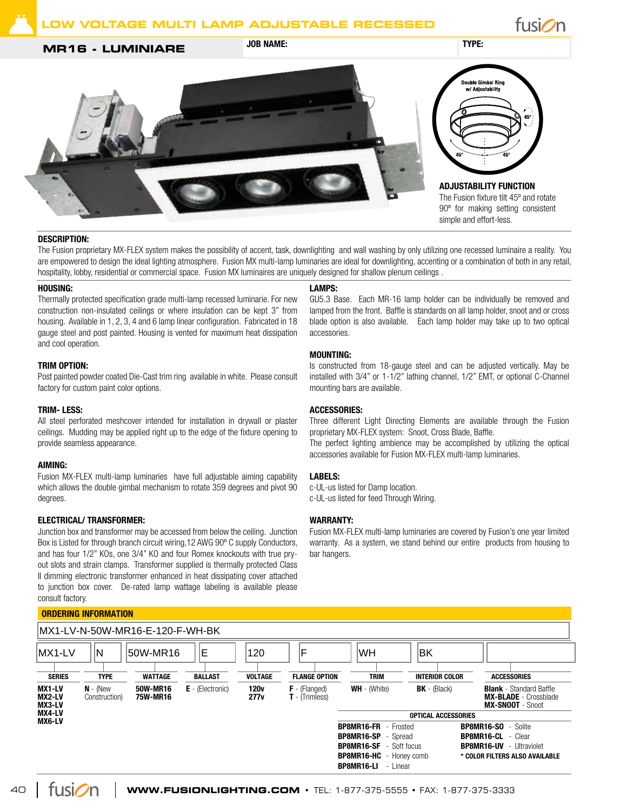## **MR16 - LUMINIARE** JOB NAME: **SUBDER 100 NAME:** TYPE:





## Description:

The Fusion proprietary MX-FLEX system makes the possibility of accent, task, downlighting and wall washing by only utilizing one recessed luminaire a reality. You are empowered to design the ideal lighting atmosphere. Fusion MX multi-lamp luminaries are ideal for downlighting, accenting or a combination of both in any retail, hospitality, lobby, residential or commercial space. Fusion MX luminaires are uniquely designed for shallow plenum ceilings.

### Housing:

Thermally protected specification grade multi-lamp recessed luminarie. For new construction non-insulated ceilings or where insulation can be kept 3" from housing. Available in 1, 2, 3, 4 and 6 lamp linear configuration. Fabricated in 18 gauge steel and post painted. Housing is vented for maximum heat dissipation and cool operation.

## Trim Option:

Post painted powder coated Die-Cast trim ring available in white. Please consult factory for custom paint color options.

#### Trim- less:

All steel perforated meshcover intended for installation in drywall or plaster ceilings. Mudding may be applied right up to the edge of the fixture opening to provide seamless appearance.

#### Aiming:

Fusion MX-FLEX multi-lamp luminaries have full adjustable aiming capability which allows the double gimbal mechanism to rotate 359 degrees and pivot 90 degrees.

## Electrical/ Transformer:

Junction box and transformer may be accessed from below the ceiling. Junction Box is Listed for through branch circuit wiring,12 AWG 90º C supply Conductors, and has four 1/2" KOs, one 3/4" KO and four Romex knockouts with true pryout slots and strain clamps. Transformer supplied is thermally protected Class II dimming electronic transformer enhanced in heat dissipating cover attached to junction box cover. De-rated lamp wattage labeling is available please consult factory.

## Lamps:

GU5.3 Base. Each MR-16 lamp holder can be individually be removed and lamped from the front. Baffle is standards on all lamp holder, snoot and or cross blade option is also available. Each lamp holder may take up to two optical accessories.

## **MOUNTING:**

Is constructed from 18-gauge steel and can be adjusted vertically. May be installed with 3/4" or 1-1/2" lathing channel, 1/2" EMT, or optional C-Channel mounting bars are available.

## Accessories:

Three different Light Directing Elements are available through the Fusion proprietary MX-FLEX system: Snoot, Cross Blade, Baffle. The perfect lighting ambience may be accomplished by utilizing the optical accessories available for Fusion MX-FLEX multi-lamp luminaries.

## Labels:

c-UL-us listed for Damp location. c-UL-us listed for feed Through Wiring.

#### WARRANTY:

Fusion MX-FLEX multi-lamp luminaries are covered by Fusion's one year limited warranty. As a system, we stand behind our entire products from housing to bar hangers.